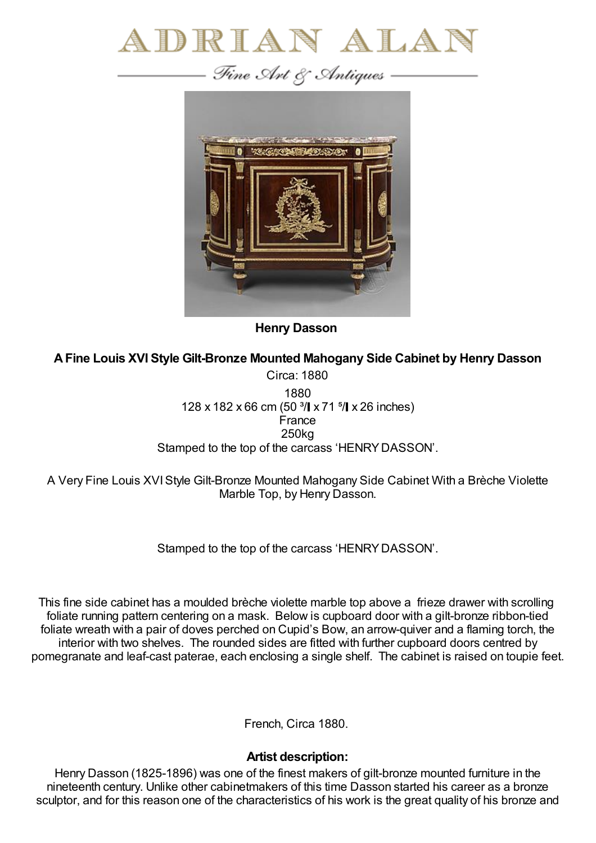

— Fine Art & Antiques —



**Henry Dasson**

**AFine Louis XVI Style Gilt-Bronze Mounted Mahogany Side Cabinet by Henry Dasson**

Circa: 1880 1880 128 x 182 x 66 cm (50 <sup>3</sup>/ x 71 <sup>5</sup>/ x 26 inches) France 250kg Stamped to the top of the carcass 'HENRY DASSON'.

A Very Fine Louis XVIStyle Gilt-Bronze Mounted Mahogany Side Cabinet With a Brèche Violette Marble Top, by Henry Dasson.

Stamped to the top of the carcass 'HENRYDASSON'.

This fine side cabinet has a moulded brèche violette marble top above a frieze drawer with scrolling foliate running pattern centering on a mask. Below is cupboard door with a gilt-bronze ribbon-tied foliate wreath with a pair of doves perched on Cupid's Bow, an arrow-quiver and a flaming torch, the interior with two shelves. The rounded sides are fitted with further cupboard doors centred by pomegranate and leaf-cast paterae, each enclosing a single shelf. The cabinet is raised on toupie feet.

French, Circa 1880.

## **Artist description:**

Henry Dasson (1825-1896) was one of the finest makers of gilt-bronze mounted furniture in the nineteenth century. Unlike other cabinetmakers of this time Dasson started his career as a bronze sculptor, and for this reason one of the characteristics of his work is the great quality of his bronze and